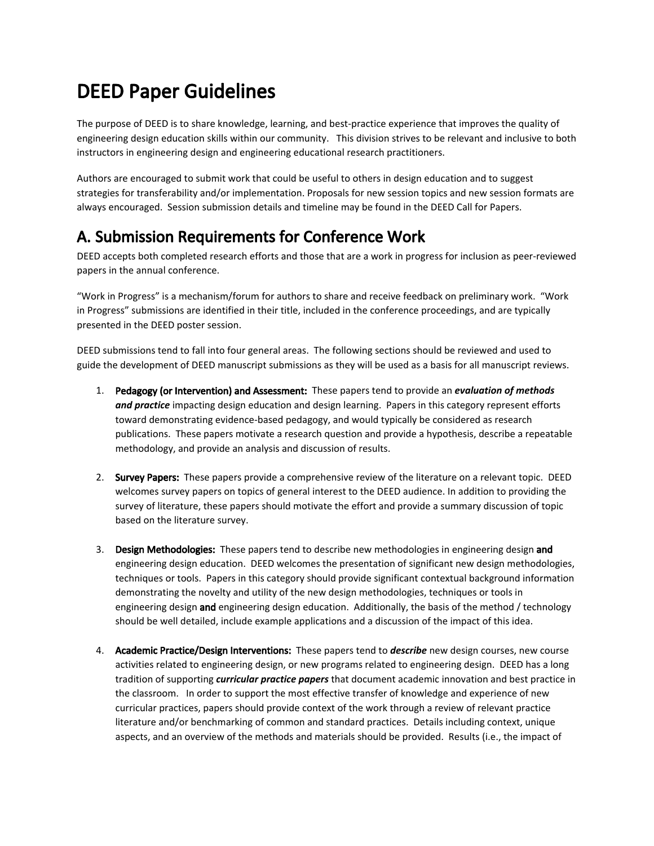## DEED Paper Guidelines

The purpose of DEED is to share knowledge, learning, and best-practice experience that improves the quality of engineering design education skills within our community. This division strives to be relevant and inclusive to both instructors in engineering design and engineering educational research practitioners.

Authors are encouraged to submit work that could be useful to others in design education and to suggest strategies for transferability and/or implementation. Proposals for new session topics and new session formats are always encouraged. Session submission details and timeline may be found in the DEED Call for Papers.

## A. Submission Requirements for Conference Work

DEED accepts both completed research efforts and those that are a work in progress for inclusion as peer-reviewed papers in the annual conference.

"Work in Progress" is a mechanism/forum for authors to share and receive feedback on preliminary work. "Work in Progress" submissions are identified in their title, included in the conference proceedings, and are typically presented in the DEED poster session.

DEED submissions tend to fall into four general areas. The following sections should be reviewed and used to guide the development of DEED manuscript submissions as they will be used as a basis for all manuscript reviews.

- 1. Pedagogy (or Intervention) and Assessment: These papers tend to provide an *evaluation of methods and practice* impacting design education and design learning. Papers in this category represent efforts toward demonstrating evidence-based pedagogy, and would typically be considered as research publications. These papers motivate a research question and provide a hypothesis, describe a repeatable methodology, and provide an analysis and discussion of results.
- 2. Survey Papers: These papers provide a comprehensive review of the literature on a relevant topic. DEED welcomes survey papers on topics of general interest to the DEED audience. In addition to providing the survey of literature, these papers should motivate the effort and provide a summary discussion of topic based on the literature survey.
- 3. Design Methodologies: These papers tend to describe new methodologies in engineering design and engineering design education. DEED welcomes the presentation of significant new design methodologies, techniques or tools. Papers in this category should provide significant contextual background information demonstrating the novelty and utility of the new design methodologies, techniques or tools in engineering design and engineering design education. Additionally, the basis of the method / technology should be well detailed, include example applications and a discussion of the impact of this idea.
- 4. Academic Practice/Design Interventions: These papers tend to *describe* new design courses, new course activities related to engineering design, or new programs related to engineering design. DEED has a long tradition of supporting *curricular practice papers* that document academic innovation and best practice in the classroom. In order to support the most effective transfer of knowledge and experience of new curricular practices, papers should provide context of the work through a review of relevant practice literature and/or benchmarking of common and standard practices. Details including context, unique aspects, and an overview of the methods and materials should be provided. Results (i.e., the impact of